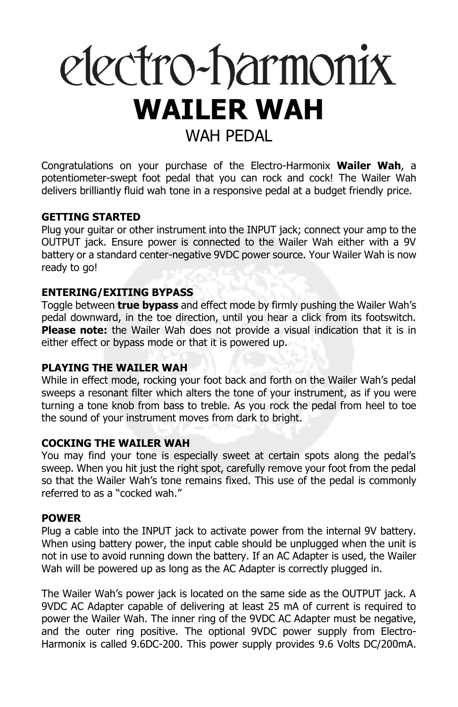# electro-harmonix **WAILER WAH** WAH PFDAI

Congratulations on your purchase of the Electro-Harmonix **Wailer Wah**, a potentiometer-swept foot pedal that you can rock and cock! The Wailer Wah delivers brilliantly fluid wah tone in a responsive pedal at a budget friendly price.

## **GETTING STARTED**

Plug your guitar or other instrument into the INPUT jack; connect your amp to the OUTPUT jack. Ensure power is connected to the Wailer Wah either with a 9V battery or a standard center-negative 9VDC power source. Your Wailer Wah is now ready to go!

## **ENTERING/EXITING BYPASS**

Toggle between **true bypass** and effect mode by firmly pushing the Wailer Wah's pedal downward, in the toe direction, until you hear a click from its footswitch. **Please note:** the Wailer Wah does not provide a visual indication that it is in either effect or bypass mode or that it is powered up.

#### **PLAYING THE WAILER WAH**

While in effect mode, rocking your foot back and forth on the Wailer Wah's pedal sweeps a resonant filter which alters the tone of your instrument, as if you were turning a tone knob from bass to treble. As you rock the pedal from heel to toe the sound of your instrument moves from dark to bright.

## **COCKING THE WAILER WAH**

You may find your tone is especially sweet at certain spots along the pedal's sweep. When you hit just the right spot, carefully remove your foot from the pedal so that the Wailer Wah's tone remains fixed. This use of the pedal is commonly referred to as a "cocked wah."

### **POWER**

Plug a cable into the INPUT jack to activate power from the internal 9V battery. When using battery power, the input cable should be unplugged when the unit is not in use to avoid running down the battery. If an AC Adapter is used, the Wailer Wah will be powered up as long as the AC Adapter is correctly plugged in.

The Wailer Wah's power jack is located on the same side as the OUTPUT jack. A 9VDC AC Adapter capable of delivering at least 25 mA of current is required to power the Wailer Wah. The inner ring of the 9VDC AC Adapter must be negative, and the outer ring positive. The optional 9VDC power supply from Electro-Harmonix is called 9.6DC-200. This power supply provides 9.6 Volts DC/200mA.